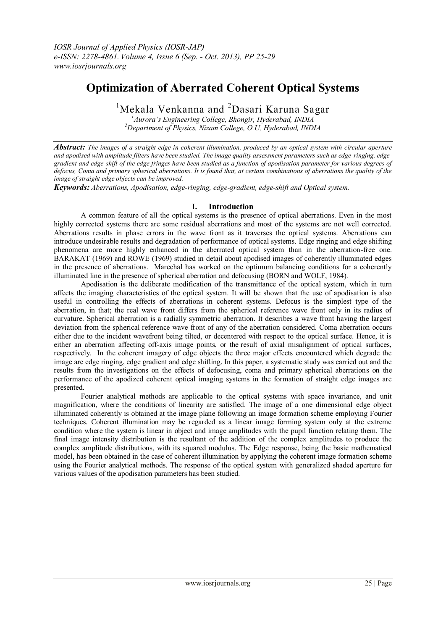# **Optimization of Aberrated Coherent Optical Systems**

<sup>1</sup>Mekala Venkanna and <sup>2</sup>Dasari Karuna Sagar

*<sup>1</sup>Aurora's Engineering College, Bhongir, Hyderabad, INDIA <sup>2</sup>Department of Physics, Nizam College, O.U, Hyderabad, INDIA* 

*Abstract: The images of a straight edge in coherent illumination, produced by an optical system with circular aperture and apodised with amplitude filters have been studied. The image quality assessment parameters such as edge-ringing, edgegradient and edge-shift of the edge fringes have been studied as a function of apodisation parameter for various degrees of defocus, Coma and primary spherical aberrations. It is found that, at certain combinations of aberrations the quality of the image of straight edge objects can be improved.* 

*Keywords: Aberrations, Apodisation, edge-ringing, edge-gradient, edge-shift and Optical system.*

# **I. Introduction**

A common feature of all the optical systems is the presence of optical aberrations. Even in the most highly corrected systems there are some residual aberrations and most of the systems are not well corrected. Aberrations results in phase errors in the wave front as it traverses the optical systems. Aberrations can introduce undesirable results and degradation of performance of optical systems. Edge ringing and edge shifting phenomena are more highly enhanced in the aberrated optical system than in the aberration-free one. BARAKAT (1969) and ROWE (1969) studied in detail about apodised images of coherently illuminated edges in the presence of aberrations. Marechal has worked on the optimum balancing conditions for a coherently illuminated line in the presence of spherical aberration and defocusing (BORN and WOLF, 1984).

Apodisation is the deliberate modification of the transmittance of the optical system, which in turn affects the imaging characteristics of the optical system. It will be shown that the use of apodisation is also useful in controlling the effects of aberrations in coherent systems. Defocus is the simplest type of the aberration, in that; the real wave front differs from the spherical reference wave front only in its radius of curvature. Spherical aberration is a radially symmetric aberration. It describes a wave front having the largest deviation from the spherical reference wave front of any of the aberration considered. Coma aberration occurs either due to the incident wavefront being tilted, or decentered with respect to the optical surface. Hence, it is either an aberration affecting off-axis image points, or the result of axial misalignment of optical surfaces, respectively. In the coherent imagery of edge objects the three major effects encountered which degrade the image are edge ringing, edge gradient and edge shifting. In this paper, a systematic study was carried out and the results from the investigations on the effects of defocusing, coma and primary spherical aberrations on the performance of the apodized coherent optical imaging systems in the formation of straight edge images are presented.

Fourier analytical methods are applicable to the optical systems with space invariance, and unit magnification, where the conditions of linearity are satisfied. The image of a one dimensional edge object illuminated coherently is obtained at the image plane following an image formation scheme employing Fourier techniques. Coherent illumination may be regarded as a linear image forming system only at the extreme condition where the system is linear in object and image amplitudes with the pupil function relating them. The final image intensity distribution is the resultant of the addition of the complex amplitudes to produce the complex amplitude distributions, with its squared modulus. The Edge response, being the basic mathematical model, has been obtained in the case of coherent illumination by applying the coherent image formation scheme using the Fourier analytical methods. The response of the optical system with generalized shaded aperture for various values of the apodisation parameters has been studied.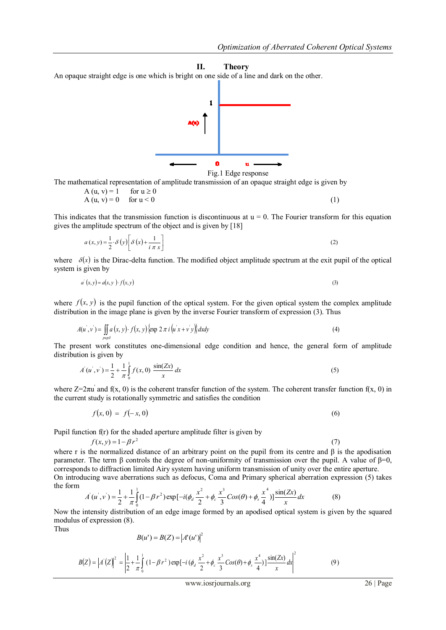#### **II. Theory**

An opaque straight edge is one which is bright on one side of a line and dark on the other.



Fig.1 Edge response

The mathematical representation of amplitude transmission of an opaque straight edge is given by

$$
A(u, v) = 1 \quad \text{for } u \ge 0
$$
  
\n
$$
A(u, v) = 0 \quad \text{for } u < 0
$$
 (1)

This indicates that the transmission function is discontinuous at  $u = 0$ . The Fourier transform for this equation gives the amplitude spectrum of the object and is given by [18]

$$
a(x, y) = \frac{1}{2} \cdot \delta(y) \left[ \delta(x) + \frac{1}{i \pi x} \right]
$$
 (2)

where  $\delta(x)$  is the Dirac-delta function. The modified object amplitude spectrum at the exit pupil of the optical system is given by

$$
a'(x, y) = a(x, y) \cdot f(x, y) \tag{3}
$$

where  $f(x, y)$  is the pupil function of the optical system. For the given optical system the complex amplitude distribution in the image plane is given by the inverse Fourier transform of expression (3). Thus

$$
A(u',v') = \iint_{pupil} a(x,y) \cdot f(x,y) \{ \exp 2 \pi i (u'x + v'y) \} dx dy
$$
 (4)

The present work constitutes one-dimensional edge condition and hence, the general form of amplitude distribution is given by

$$
A(u',v') = \frac{1}{2} + \frac{1}{\pi} \int_{0}^{1} f(x,0) \frac{\sin(Zx)}{x} dx
$$
 (5)

where  $Z=2\pi u$  and  $f(x, 0)$  is the coherent transfer function of the system. The coherent transfer function  $f(x, 0)$  in the current study is rotationally symmetric and satisfies the condition

$$
f(x, 0) = f(-x, 0)
$$
 (6)

Pupil function f(r) for the shaded aperture amplitude filter is given by

$$
f(x, y) = 1 - \beta r^2
$$
 (7)  
where r is the normalized distance of an arbitrary point on the pupil from its centre and  $\beta$  is the apodisation  
parameter. The term  $\beta$  controls the degree of non-uniformity of transmission over the pupil. A value of  $\beta=0$ ,  
corresponds to diffraction limited Airy system having uniform transmission of unity over the entire aperture.  
On introducing wave aberrations such as defocus, Coma and Primary spherical aberration expression (5) takes  
the form

$$
A'(u',v') = \frac{1}{2} + \frac{1}{\pi} \int_0^1 (1 - \beta r^2) \exp[-i(\phi_d \frac{x^2}{2} + \phi_c \frac{x^3}{3} Cos(\theta) + \phi_s \frac{x^4}{4})] \frac{sin(Zx)}{x} dx
$$
 (8)

Now the intensity distribution of an edge image formed by an apodised optical system is given by the squared modulus of expression (8).

Thus

$$
B(u') = B(Z) = |A'(u')|^2
$$

$$
B(Z) = |A'(Z)|^2 = \left| \frac{1}{2} + \frac{1}{\pi} \int_0^1 (1 - \beta r^2) \exp[-i (\phi_d \frac{x^2}{2} + \phi_c \frac{x^3}{3} \cos(\theta) + \phi_s \frac{x^4}{4})] \frac{\sin(Zx)}{x} dx \right|^2
$$
(9)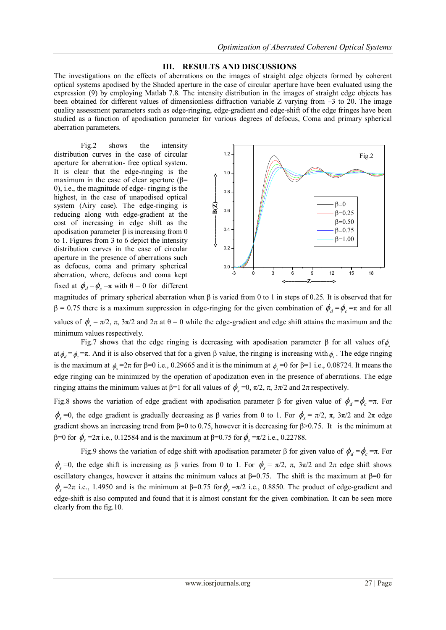### **III. RESULTS AND DISCUSSIONS**

The investigations on the effects of aberrations on the images of straight edge objects formed by coherent optical systems apodised by the Shaded aperture in the case of circular aperture have been evaluated using the expression (9) by employing Matlab 7.8. The intensity distribution in the images of straight edge objects has been obtained for different values of dimensionless diffraction variable Z varying from –3 to 20. The image quality assessment parameters such as edge-ringing, edge-gradient and edge-shift of the edge fringes have been studied as a function of apodisation parameter for various degrees of defocus, Coma and primary spherical aberration parameters.

Fig.2 shows the intensity distribution curves in the case of circular aperture for aberration- free optical system. It is clear that the edge-ringing is the maximum in the case of clear aperture ( $\beta$ = 0), i.e., the magnitude of edge- ringing is the highest, in the case of unapodised optical system (Airy case). The edge-ringing is reducing along with edge-gradient at the cost of increasing in edge shift as the apodisation parameter  $β$  is increasing from 0 to 1. Figures from 3 to 6 depict the intensity distribution curves in the case of circular aperture in the presence of aberrations such as defocus, coma and primary spherical aberration, where, defocus and coma kept fixed at  $\phi_d = \phi_c = \pi$  with  $\theta = 0$  for different



magnitudes of primary spherical aberration when β is varied from 0 to 1 in steps of 0.25. It is observed that for  $β = 0.75$  there is a maximum suppression in edge-ringing for the given combination of  $φ_a = φ_c = π$  and for all values of  $\phi_s = \pi/2$ ,  $\pi$ ,  $3\pi/2$  and  $2\pi$  at  $\theta = 0$  while the edge-gradient and edge shift attains the maximum and the minimum values respectively.

Fig.7 shows that the edge ringing is decreasing with apodisation parameter β for all values of  $\phi_s$ at  $\phi_d = \phi_c = \pi$ . And it is also observed that for a given  $\beta$  value, the ringing is increasing with  $\phi_s$ . The edge ringing is the maximum at  $\phi_s = 2\pi$  for  $\beta = 0$  i.e., 0.29665 and it is the minimum at  $\phi_s = 0$  for  $\beta = 1$  i.e., 0.08724. It means the edge ringing can be minimized by the operation of apodization even in the presence of aberrations. The edge ringing attains the minimum values at β=1 for all values of  $\phi_s = 0$ ,  $\pi/2$ ,  $\pi$ ,  $3\pi/2$  and  $2\pi$  respectively.

Fig.8 shows the variation of edge gradient with apodisation parameter β for given value of  $\phi_d = \phi_c = \pi$ . For  $\phi_s$  =0, the edge gradient is gradually decreasing as β varies from 0 to 1. For  $\phi_s = \pi/2$ , π, 3π/2 and 2π edge gradient shows an increasing trend from β=0 to 0.75, however it is decreasing for β>0.75. It is the minimum at β=0 for  $\phi_s = 2\pi$  i.e., 0.12584 and is the maximum at β=0.75 for  $\phi_s = \pi/2$  i.e., 0.22788.

Fig.9 shows the variation of edge shift with apodisation parameter β for given value of  $\phi_d = \phi_c = \pi$ . For  $\phi_s$  =0, the edge shift is increasing as β varies from 0 to 1. For  $\phi_s = \pi/2$ , π,  $3\pi/2$  and  $2\pi$  edge shift shows oscillatory changes, however it attains the minimum values at  $\beta$ =0.75. The shift is the maximum at  $\beta$ =0 for  $\phi_s$  =2π i.e., 1.4950 and is the minimum at β=0.75 for  $\phi_s$  =π/2 i.e., 0.8850. The product of edge-gradient and edge-shift is also computed and found that it is almost constant for the given combination. It can be seen more clearly from the fig.10.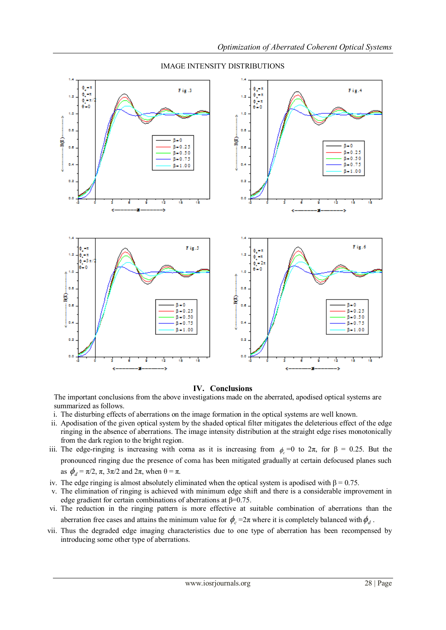

### IMAGE INTENSITY DISTRIBUTIONS

# **IV. Conclusions**

The important conclusions from the above investigations made on the aberrated, apodised optical systems are summarized as follows.

- i. The disturbing effects of aberrations on the image formation in the optical systems are well known.
- ii. Apodisation of the given optical system by the shaded optical filter mitigates the deleterious effect of the edge ringing in the absence of aberrations. The image intensity distribution at the straight edge rises monotonically from the dark region to the bright region.
- iii. The edge-ringing is increasing with coma as it is increasing from  $\phi_c = 0$  to  $2\pi$ , for  $\beta = 0.25$ . But the pronounced ringing due the presence of coma has been mitigated gradually at certain defocused planes such as  $\phi_d = \pi/2$ ,  $\pi$ ,  $3\pi/2$  and  $2\pi$ , when  $\theta = \pi$ .
- iv. The edge ringing is almost absolutely eliminated when the optical system is apodised with  $β = 0.75$ .
- v. The elimination of ringing is achieved with minimum edge shift and there is a considerable improvement in edge gradient for certain combinations of aberrations at  $\beta$ =0.75.
- vi. The reduction in the ringing pattern is more effective at suitable combination of aberrations than the aberration free cases and attains the minimum value for  $\phi_c = 2\pi$  where it is completely balanced with  $\phi_d$ .
- vii. Thus the degraded edge imaging characteristics due to one type of aberration has been recompensed by introducing some other type of aberrations.